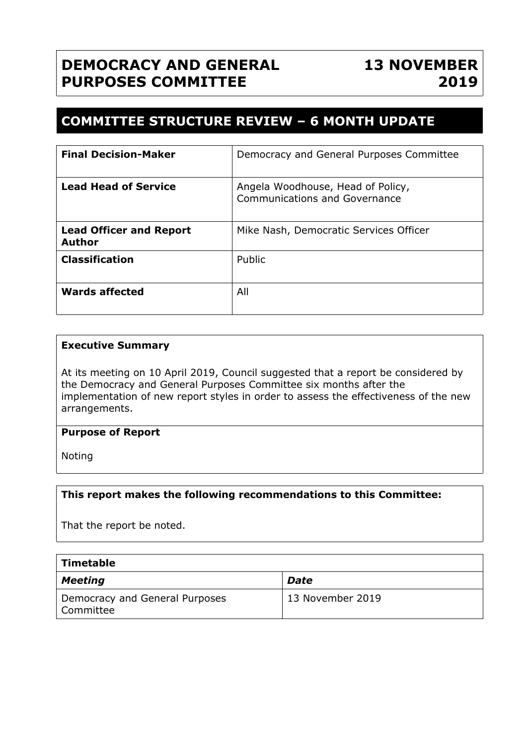# **DEMOCRACY AND GENERAL PURPOSES COMMITTEE**

# **COMMITTEE STRUCTURE REVIEW – 6 MONTH UPDATE**

| <b>Final Decision-Maker</b>                     | Democracy and General Purposes Committee                           |
|-------------------------------------------------|--------------------------------------------------------------------|
| <b>Lead Head of Service</b>                     | Angela Woodhouse, Head of Policy,<br>Communications and Governance |
| <b>Lead Officer and Report</b><br><b>Author</b> | Mike Nash, Democratic Services Officer                             |
| <b>Classification</b>                           | Public                                                             |
| <b>Wards affected</b>                           | All                                                                |

#### **Executive Summary**

At its meeting on 10 April 2019, Council suggested that a report be considered by the Democracy and General Purposes Committee six months after the implementation of new report styles in order to assess the effectiveness of the new arrangements.

### **Purpose of Report**

Noting

#### **This report makes the following recommendations to this Committee:**

That the report be noted.

| $\mid$ Timetable                            |                  |  |
|---------------------------------------------|------------------|--|
| Meeting                                     | Date             |  |
| Democracy and General Purposes<br>Committee | 13 November 2019 |  |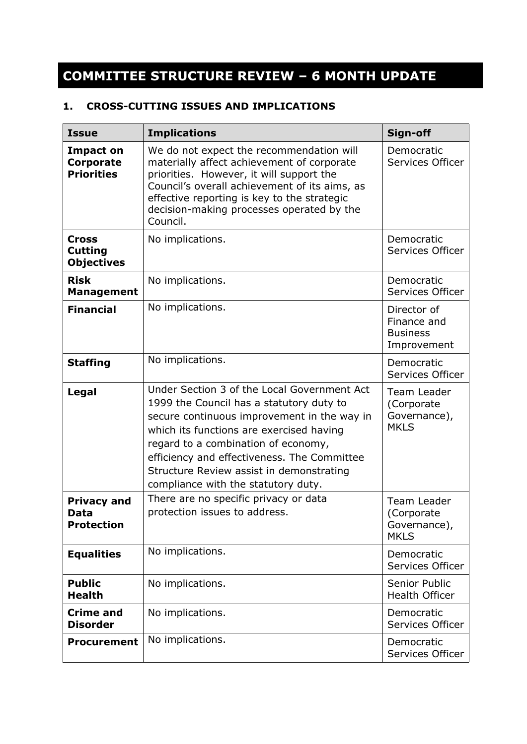# **COMMITTEE STRUCTURE REVIEW – 6 MONTH UPDATE**

### **1. CROSS-CUTTING ISSUES AND IMPLICATIONS**

| <b>Issue</b>                                              | <b>Implications</b>                                                                                                                                                                                                                                                                                                                                         | Sign-off                                                     |
|-----------------------------------------------------------|-------------------------------------------------------------------------------------------------------------------------------------------------------------------------------------------------------------------------------------------------------------------------------------------------------------------------------------------------------------|--------------------------------------------------------------|
| <b>Impact on</b><br><b>Corporate</b><br><b>Priorities</b> | We do not expect the recommendation will<br>materially affect achievement of corporate<br>priorities. However, it will support the<br>Council's overall achievement of its aims, as<br>effective reporting is key to the strategic<br>decision-making processes operated by the<br>Council.                                                                 | Democratic<br>Services Officer                               |
| <b>Cross</b><br><b>Cutting</b><br><b>Objectives</b>       | No implications.                                                                                                                                                                                                                                                                                                                                            | Democratic<br>Services Officer                               |
| <b>Risk</b><br><b>Management</b>                          | No implications.                                                                                                                                                                                                                                                                                                                                            | Democratic<br>Services Officer                               |
| <b>Financial</b>                                          | No implications.                                                                                                                                                                                                                                                                                                                                            | Director of<br>Finance and<br><b>Business</b><br>Improvement |
| <b>Staffing</b>                                           | No implications.                                                                                                                                                                                                                                                                                                                                            | Democratic<br>Services Officer                               |
| Legal                                                     | Under Section 3 of the Local Government Act<br>1999 the Council has a statutory duty to<br>secure continuous improvement in the way in<br>which its functions are exercised having<br>regard to a combination of economy,<br>efficiency and effectiveness. The Committee<br>Structure Review assist in demonstrating<br>compliance with the statutory duty. | Team Leader<br>(Corporate<br>Governance),<br><b>MKLS</b>     |
| <b>Privacy and</b><br>Data<br><b>Protection</b>           | There are no specific privacy or data<br>protection issues to address.                                                                                                                                                                                                                                                                                      | Team Leader<br>(Corporate<br>Governance),<br><b>MKLS</b>     |
| <b>Equalities</b>                                         | No implications.                                                                                                                                                                                                                                                                                                                                            | Democratic<br>Services Officer                               |
| <b>Public</b><br><b>Health</b>                            | No implications.                                                                                                                                                                                                                                                                                                                                            | Senior Public<br><b>Health Officer</b>                       |
| <b>Crime and</b><br><b>Disorder</b>                       | No implications.                                                                                                                                                                                                                                                                                                                                            | Democratic<br>Services Officer                               |
| <b>Procurement</b>                                        | No implications.                                                                                                                                                                                                                                                                                                                                            | Democratic<br>Services Officer                               |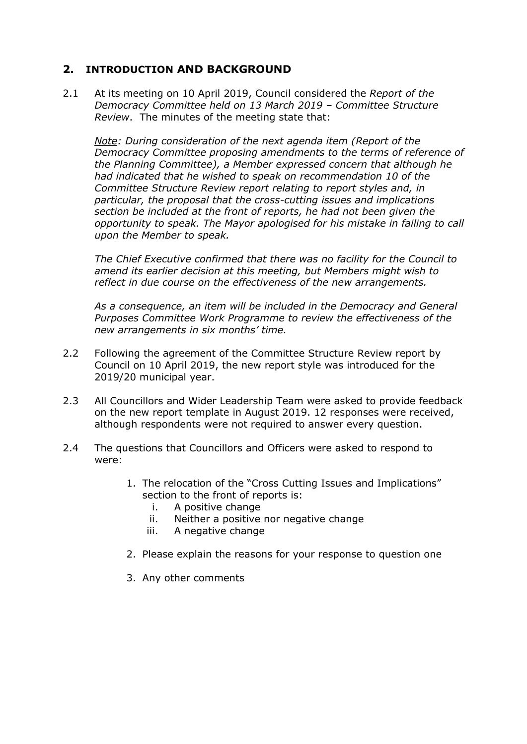## **2. INTRODUCTION AND BACKGROUND**

2.1 At its meeting on 10 April 2019, Council considered the *Report of the Democracy Committee held on 13 March 2019 – Committee Structure Review*. The minutes of the meeting state that:

*Note: During consideration of the next agenda item (Report of the Democracy Committee proposing amendments to the terms of reference of the Planning Committee), a Member expressed concern that although he had indicated that he wished to speak on recommendation 10 of the Committee Structure Review report relating to report styles and, in particular, the proposal that the cross-cutting issues and implications section be included at the front of reports, he had not been given the opportunity to speak. The Mayor apologised for his mistake in failing to call upon the Member to speak.*

*The Chief Executive confirmed that there was no facility for the Council to amend its earlier decision at this meeting, but Members might wish to reflect in due course on the effectiveness of the new arrangements.*

*As a consequence, an item will be included in the Democracy and General Purposes Committee Work Programme to review the effectiveness of the new arrangements in six months' time.*

- 2.2 Following the agreement of the Committee Structure Review report by Council on 10 April 2019, the new report style was introduced for the 2019/20 municipal year.
- 2.3 All Councillors and Wider Leadership Team were asked to provide feedback on the new report template in August 2019. 12 responses were received, although respondents were not required to answer every question.
- 2.4 The questions that Councillors and Officers were asked to respond to were:
	- 1. The relocation of the "Cross Cutting Issues and Implications" section to the front of reports is:
		- i. A positive change
		- ii. Neither a positive nor negative change
		- iii. A negative change
	- 2. Please explain the reasons for your response to question one
	- 3. Any other comments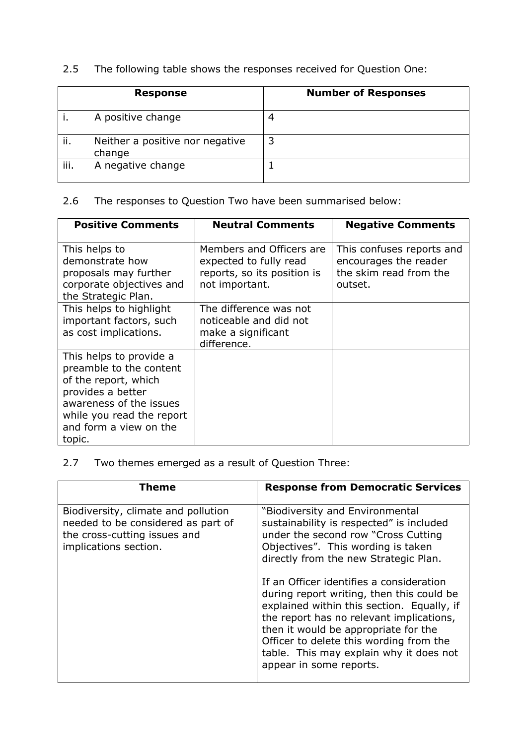# 2.5 The following table shows the responses received for Question One:

|      | <b>Response</b>                           | <b>Number of Responses</b> |
|------|-------------------------------------------|----------------------------|
|      | A positive change                         | 4                          |
| ii.  | Neither a positive nor negative<br>change |                            |
| iii. | A negative change                         |                            |

# 2.6 The responses to Question Two have been summarised below:

| <b>Positive Comments</b>                                                                                                                                                                    | <b>Neutral Comments</b>                                                                             | <b>Negative Comments</b>                                                                |
|---------------------------------------------------------------------------------------------------------------------------------------------------------------------------------------------|-----------------------------------------------------------------------------------------------------|-----------------------------------------------------------------------------------------|
| This helps to<br>demonstrate how<br>proposals may further<br>corporate objectives and<br>the Strategic Plan.                                                                                | Members and Officers are<br>expected to fully read<br>reports, so its position is<br>not important. | This confuses reports and<br>encourages the reader<br>the skim read from the<br>outset. |
| This helps to highlight<br>important factors, such<br>as cost implications.                                                                                                                 | The difference was not<br>noticeable and did not<br>make a significant<br>difference.               |                                                                                         |
| This helps to provide a<br>preamble to the content<br>of the report, which<br>provides a better<br>awareness of the issues<br>while you read the report<br>and form a view on the<br>topic. |                                                                                                     |                                                                                         |

# 2.7 Two themes emerged as a result of Question Three:

| Theme                                                                                                                              | <b>Response from Democratic Services</b>                                                                                                                                                                                                                                                                                                                                                                                                                                                                                                      |
|------------------------------------------------------------------------------------------------------------------------------------|-----------------------------------------------------------------------------------------------------------------------------------------------------------------------------------------------------------------------------------------------------------------------------------------------------------------------------------------------------------------------------------------------------------------------------------------------------------------------------------------------------------------------------------------------|
| Biodiversity, climate and pollution<br>needed to be considered as part of<br>the cross-cutting issues and<br>implications section. | "Biodiversity and Environmental<br>sustainability is respected" is included<br>under the second row "Cross Cutting<br>Objectives". This wording is taken<br>directly from the new Strategic Plan.<br>If an Officer identifies a consideration<br>during report writing, then this could be<br>explained within this section. Equally, if<br>the report has no relevant implications,<br>then it would be appropriate for the<br>Officer to delete this wording from the<br>table. This may explain why it does not<br>appear in some reports. |
|                                                                                                                                    |                                                                                                                                                                                                                                                                                                                                                                                                                                                                                                                                               |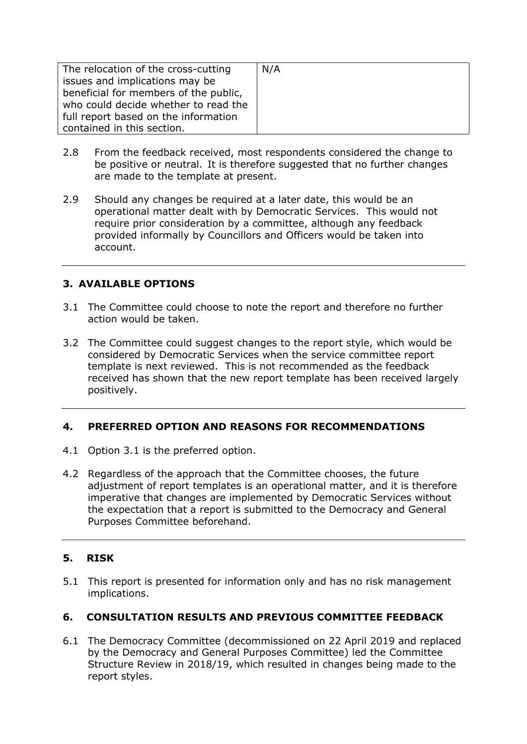| The relocation of the cross-cutting   | N/A |
|---------------------------------------|-----|
| issues and implications may be        |     |
| beneficial for members of the public, |     |
| who could decide whether to read the  |     |
| full report based on the information  |     |
| contained in this section.            |     |

- 2.8 From the feedback received, most respondents considered the change to be positive or neutral. It is therefore suggested that no further changes are made to the template at present.
- 2.9 Should any changes be required at a later date, this would be an operational matter dealt with by Democratic Services. This would not require prior consideration by a committee, although any feedback provided informally by Councillors and Officers would be taken into account.

### **3. AVAILABLE OPTIONS**

- 3.1 The Committee could choose to note the report and therefore no further action would be taken.
- 3.2 The Committee could suggest changes to the report style, which would be considered by Democratic Services when the service committee report template is next reviewed. This is not recommended as the feedback received has shown that the new report template has been received largely positively.

### **4. PREFERRED OPTION AND REASONS FOR RECOMMENDATIONS**

- 4.1 Option 3.1 is the preferred option.
- 4.2 Regardless of the approach that the Committee chooses, the future adjustment of report templates is an operational matter, and it is therefore imperative that changes are implemented by Democratic Services without the expectation that a report is submitted to the Democracy and General Purposes Committee beforehand.

### **5. RISK**

5.1 This report is presented for information only and has no risk management implications.

### **6. CONSULTATION RESULTS AND PREVIOUS COMMITTEE FEEDBACK**

6.1 The Democracy Committee (decommissioned on 22 April 2019 and replaced by the Democracy and General Purposes Committee) led the Committee Structure Review in 2018/19, which resulted in changes being made to the report styles.